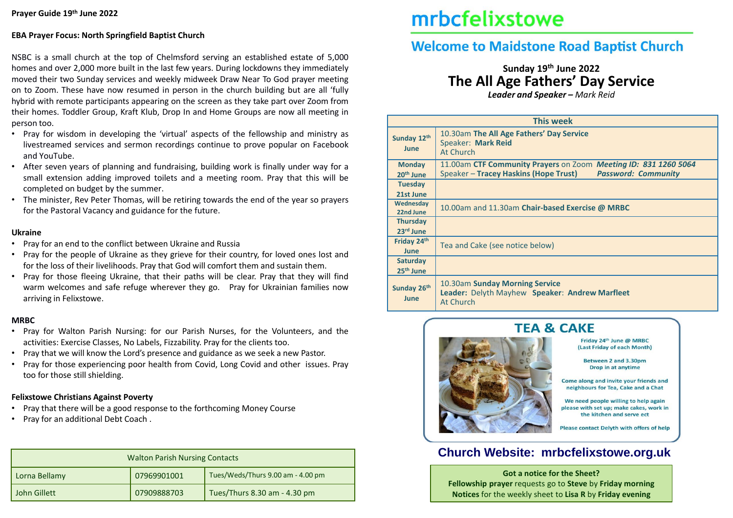## **EBA Prayer Focus: North Springfield Baptist Church**

NSBC is a small church at the top of Chelmsford serving an established estate of 5,000 homes and over 2,000 more built in the last few years. During lockdowns they immediately moved their two Sunday services and weekly midweek Draw Near To God prayer meeting on to Zoom. These have now resumed in person in the church building but are all 'fully hybrid with remote participants appearing on the screen as they take part over Zoom from their homes. Toddler Group, Kraft Klub, Drop In and Home Groups are now all meeting in person too.

- Pray for wisdom in developing the 'virtual' aspects of the fellowship and ministry as livestreamed services and sermon recordings continue to prove popular on Facebook and YouTube.
- After seven years of planning and fundraising, building work is finally under way for a small extension adding improved toilets and a meeting room. Pray that this will be completed on budget by the summer.
- The minister, Rev Peter Thomas, will be retiring towards the end of the year so prayers for the Pastoral Vacancy and guidance for the future.

#### **Ukraine**

- Pray for an end to the conflict between Ukraine and Russia
- Pray for the people of Ukraine as they grieve for their country, for loved ones lost and for the loss of their livelihoods. Pray that God will comfort them and sustain them.
- Pray for those fleeing Ukraine, that their paths will be clear. Pray that they will find warm welcomes and safe refuge wherever they go. Pray for Ukrainian families now arriving in Felixstowe.

### **MRBC**

- Pray for Walton Parish Nursing: for our Parish Nurses, for the Volunteers, and the activities: Exercise Classes, No Labels, Fizzability. Pray for the clients too.
- Pray that we will know the Lord's presence and guidance as we seek a new Pastor.
- Pray for those experiencing poor health from Covid, Long Covid and other issues. Pray too for those still shielding.

### **Felixstowe Christians Against Poverty**

- Pray that there will be a good response to the forthcoming Money Course
- Pray for an additional Debt Coach .

| <b>Walton Parish Nursing Contacts</b> |             |                                   |  |  |  |  |
|---------------------------------------|-------------|-----------------------------------|--|--|--|--|
| Lorna Bellamy                         | 07969901001 | Tues/Weds/Thurs 9.00 am - 4.00 pm |  |  |  |  |
| John Gillett                          | 07909888703 | Tues/Thurs 8.30 am - 4.30 pm      |  |  |  |  |

# mrbcfelixstowe

# **Welcome to Maidstone Road Baptist Church**

# **Sunday 19th June 2022 The All Age Fathers' Day Service**

*Leader and Speaker – Mark Reid*

| <b>This week</b>                         |                                                                                                                                        |  |  |  |  |
|------------------------------------------|----------------------------------------------------------------------------------------------------------------------------------------|--|--|--|--|
| Sunday 12th<br>June                      | 10.30am The All Age Fathers' Day Service<br>Speaker: Mark Reid<br>At Church                                                            |  |  |  |  |
| <b>Monday</b><br>20 <sup>th</sup> June   | 11.00am CTF Community Prayers on Zoom Meeting ID: 831 1260 5064<br>Speaker - Tracey Haskins (Hope Trust)<br><b>Password: Community</b> |  |  |  |  |
| <b>Tuesday</b><br>21st June              |                                                                                                                                        |  |  |  |  |
| Wednesday<br>22nd June                   | 10.00am and 11.30am Chair-based Exercise @ MRBC                                                                                        |  |  |  |  |
| <b>Thursday</b><br>23rd June             |                                                                                                                                        |  |  |  |  |
| Friday 24th<br><b>June</b>               | Tea and Cake (see notice below)                                                                                                        |  |  |  |  |
| <b>Saturday</b><br>25 <sup>th</sup> June |                                                                                                                                        |  |  |  |  |
| Sunday 26th<br><b>June</b>               | 10.30am Sunday Morning Service<br>Leader: Delyth Mayhew Speaker: Andrew Marfleet<br>At Church                                          |  |  |  |  |



#### Friday 24th June @ MRBC (Last Friday of each Month)

**Between 2 and 3.30pm Drop in at anytime** 

Come along and invite your friends and neighbours for Tea, Cake and a Chat

We need people willing to help again please with set up: make cakes, work in the kitchen and serve ect

Please contact Delyth with offers of help

## **Church Website: mrbcfelixstowe.org.uk**

**Got a notice for the Sheet? Fellowship prayer** requests go to **Steve** by **Friday morning Notices** for the weekly sheet to **Lisa R** by **Friday evening**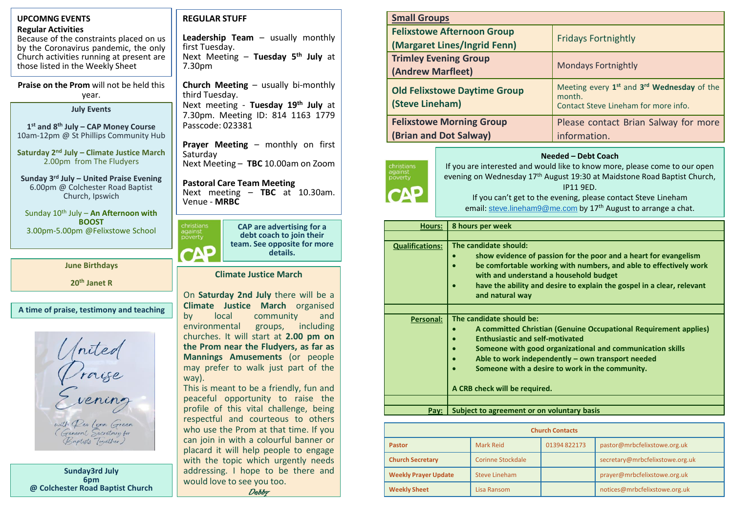| <b>UPCOMNG EVENTS</b>                                                                                                                                                                                                                   | <b>Small Groups</b><br><b>REGULAR STUFF</b>                                                                                                                                                                                                                                                                                                                                                                                                                                                                                                                                                                                                                                                                                   |                                         |                                                                                                                                                                                                                                                                                                                                                       |                                                                                                                                                                                                                                                                                                                                              |             |                                                                                                            |  |  |
|-----------------------------------------------------------------------------------------------------------------------------------------------------------------------------------------------------------------------------------------|-------------------------------------------------------------------------------------------------------------------------------------------------------------------------------------------------------------------------------------------------------------------------------------------------------------------------------------------------------------------------------------------------------------------------------------------------------------------------------------------------------------------------------------------------------------------------------------------------------------------------------------------------------------------------------------------------------------------------------|-----------------------------------------|-------------------------------------------------------------------------------------------------------------------------------------------------------------------------------------------------------------------------------------------------------------------------------------------------------------------------------------------------------|----------------------------------------------------------------------------------------------------------------------------------------------------------------------------------------------------------------------------------------------------------------------------------------------------------------------------------------------|-------------|------------------------------------------------------------------------------------------------------------|--|--|
| <b>Regular Activities</b><br>Because of the constraints placed on us<br>by the Coronavirus pandemic, the only                                                                                                                           | Leadership Team $-$ usually monthly<br>first Tuesday.                                                                                                                                                                                                                                                                                                                                                                                                                                                                                                                                                                                                                                                                         |                                         |                                                                                                                                                                                                                                                                                                                                                       | <b>Felixstowe Afternoon Group</b><br>(Margaret Lines/Ingrid Fenn)                                                                                                                                                                                                                                                                            |             | <b>Fridays Fortnightly</b>                                                                                 |  |  |
| Church activities running at present are<br>those listed in the Weekly Sheet                                                                                                                                                            | Next Meeting - Tuesday 5th July at<br>7.30pm                                                                                                                                                                                                                                                                                                                                                                                                                                                                                                                                                                                                                                                                                  |                                         | <b>Trimley Evening Group</b><br>(Andrew Marfleet)<br><b>Old Felixstowe Daytime Group</b><br>(Steve Lineham)                                                                                                                                                                                                                                           |                                                                                                                                                                                                                                                                                                                                              |             | <b>Mondays Fortnightly</b>                                                                                 |  |  |
| Praise on the Prom will not be held this<br>year.<br><b>July Events</b>                                                                                                                                                                 | <b>Church Meeting - usually bi-monthly</b><br>third Tuesday.<br>Next meeting - Tuesday 19th July at                                                                                                                                                                                                                                                                                                                                                                                                                                                                                                                                                                                                                           |                                         |                                                                                                                                                                                                                                                                                                                                                       |                                                                                                                                                                                                                                                                                                                                              |             | Meeting every 1 <sup>st</sup> and 3 <sup>rd</sup> Wednesday of the<br>Contact Steve Lineham for more info. |  |  |
| $1st$ and $8th$ July – CAP Money Course<br>10am-12pm @ St Phillips Community Hub                                                                                                                                                        | 7.30pm. Meeting ID: 814 1163 1779<br>Passcode: 023381                                                                                                                                                                                                                                                                                                                                                                                                                                                                                                                                                                                                                                                                         |                                         | <b>Felixstowe Morning Group</b><br>(Brian and Dot Salway)                                                                                                                                                                                                                                                                                             |                                                                                                                                                                                                                                                                                                                                              |             | Please contact Brian Salway for more<br>information.                                                       |  |  |
| Saturday 2 <sup>nd</sup> July - Climate Justice March<br>2.00pm from The Fludyers<br>Sunday 3rd July - United Praise Evening<br>6.00pm @ Colchester Road Baptist<br>Church, Ipswich<br>Sunday 10 <sup>th</sup> July - An Afternoon with | Prayer Meeting - monthly on first<br>Saturday<br>Next Meeting - TBC 10.00am on Zoom<br><b>Pastoral Care Team Meeting</b><br>Next meeting - TBC at 10.30am.<br>Venue - MRBC                                                                                                                                                                                                                                                                                                                                                                                                                                                                                                                                                    | christians<br>against<br>poverty<br>CAP | Needed - Debt Coach<br>If you are interested and would like to know more, please come to our open<br>evening on Wednesday 17 <sup>th</sup> August 19:30 at Maidstone Road Baptist Church,<br>IP11 9ED.<br>If you can't get to the evening, please contact Steve Lineham<br>email: steve.lineham9@me.com by 17 <sup>th</sup> August to arrange a chat. |                                                                                                                                                                                                                                                                                                                                              |             |                                                                                                            |  |  |
| <b>BOOST</b>                                                                                                                                                                                                                            | christians<br>against<br>poverty<br><b>CAP</b> are advertising for a<br>debt coach to join their<br>team. See opposite for more<br>CAP<br>details.<br><b>Climate Justice March</b><br>On Saturday 2nd July there will be a<br><b>Climate Justice March organised</b><br>community<br>local<br>and<br>by<br>environmental<br>including<br>groups,<br>churches. It will start at 2.00 pm on<br>the Prom near the Fludyers, as far as<br>Mannings Amusements (or people<br>may prefer to walk just part of the<br>way).<br>This is meant to be a friendly, fun and<br>peaceful opportunity to raise the<br>profile of this vital challenge, being<br>respectful and courteous to others<br>who use the Prom at that time. If you |                                         | 8 hours per week<br><b>Hours:</b>                                                                                                                                                                                                                                                                                                                     |                                                                                                                                                                                                                                                                                                                                              |             |                                                                                                            |  |  |
| 3.00pm-5.00pm @Felixstowe School                                                                                                                                                                                                        |                                                                                                                                                                                                                                                                                                                                                                                                                                                                                                                                                                                                                                                                                                                               |                                         |                                                                                                                                                                                                                                                                                                                                                       |                                                                                                                                                                                                                                                                                                                                              |             |                                                                                                            |  |  |
| <b>June Birthdays</b><br>20 <sup>th</sup> Janet R                                                                                                                                                                                       |                                                                                                                                                                                                                                                                                                                                                                                                                                                                                                                                                                                                                                                                                                                               |                                         | <b>Qualifications:</b><br>The candidate should:<br>show evidence of passion for the poor and a heart for evangelism<br>be comfortable working with numbers, and able to effectively work<br>with and understand a household budget<br>have the ability and desire to explain the gospel in a clear, relevant<br>and natural way                       |                                                                                                                                                                                                                                                                                                                                              |             |                                                                                                            |  |  |
| A time of praise, testimony and teaching<br>niten                                                                                                                                                                                       |                                                                                                                                                                                                                                                                                                                                                                                                                                                                                                                                                                                                                                                                                                                               | <b>Personal:</b>                        | $\bullet$                                                                                                                                                                                                                                                                                                                                             | The candidate should be:<br>A committed Christian (Genuine Occupational Requirement applies)<br><b>Enthusiastic and self-motivated</b><br>Someone with good organizational and communication skills<br>Able to work independently - own transport needed<br>Someone with a desire to work in the community.<br>A CRB check will be required. |             |                                                                                                            |  |  |
| vening                                                                                                                                                                                                                                  |                                                                                                                                                                                                                                                                                                                                                                                                                                                                                                                                                                                                                                                                                                                               |                                         |                                                                                                                                                                                                                                                                                                                                                       |                                                                                                                                                                                                                                                                                                                                              |             |                                                                                                            |  |  |
|                                                                                                                                                                                                                                         |                                                                                                                                                                                                                                                                                                                                                                                                                                                                                                                                                                                                                                                                                                                               |                                         |                                                                                                                                                                                                                                                                                                                                                       | $Pay:$ Subject to agreement or on voluntary basis                                                                                                                                                                                                                                                                                            |             |                                                                                                            |  |  |
| with Per Lynn Green<br>(General Secretary for<br>(Baptists Together)                                                                                                                                                                    |                                                                                                                                                                                                                                                                                                                                                                                                                                                                                                                                                                                                                                                                                                                               |                                         | <b>Church Contacts</b>                                                                                                                                                                                                                                                                                                                                |                                                                                                                                                                                                                                                                                                                                              |             |                                                                                                            |  |  |
|                                                                                                                                                                                                                                         | can join in with a colourful banner or                                                                                                                                                                                                                                                                                                                                                                                                                                                                                                                                                                                                                                                                                        | <b>Pastor</b>                           |                                                                                                                                                                                                                                                                                                                                                       | <b>Mark Reid</b>                                                                                                                                                                                                                                                                                                                             | 01394822173 | pastor@mrbcfelixstowe.org.uk                                                                               |  |  |
|                                                                                                                                                                                                                                         | placard it will help people to engage<br>with the topic which urgently needs                                                                                                                                                                                                                                                                                                                                                                                                                                                                                                                                                                                                                                                  | <b>Church Secretary</b>                 |                                                                                                                                                                                                                                                                                                                                                       | <b>Corinne Stockdale</b>                                                                                                                                                                                                                                                                                                                     |             | secretary@mrbcfelixstowe.org.uk                                                                            |  |  |

**Weekly Prayer Update** Steve Lineham **provides the Steve Lineham prayer@mrbcfelixstowe.org.uk Weekly Sheet** Lisa Ransom **notices@mrbcfelixstowe.org.uk** 

addressing. I hope to be there and

Debby

would love to see you too.

**Sunday3rd July 6pm @ Colchester Road Baptist Church**